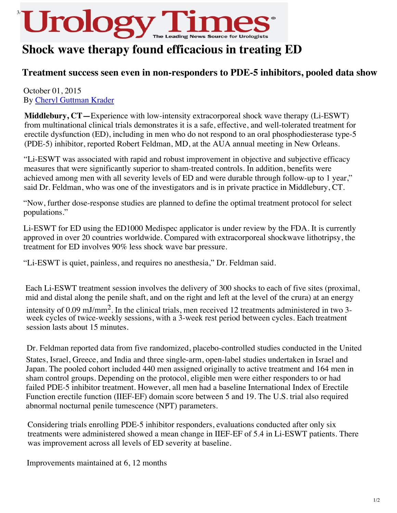## Urology Ti

## **Shock wave therapy found efficacious in treating ED**

## **Treatment success seen even in non-responders to PDE-5 inhibitors, pooled data show**

## October 01, 2015 By Cheryl Guttman Krader

**M[iddlebury, CT—](http://urologytimes.modernmedicine.com/authorDetails/394233)Experience with low-intensity extracorporeal shock wave therapy (Li-ESWT)** from multinational clinical trials demonstrates it is a safe, effective, and well-tolerated treatment for erectile dysfunction (ED), including in men who do not respond to an oral phosphodiesterase type-5 (PDE-5) inhibitor, reported Robert Feldman, MD, at the AUA annual meeting in New Orleans.

"Li-ESWT was associated with rapid and robust improvement in objective and subjective efficacy measures that were significantly superior to sham-treated controls. In addition, benefits were achieved amo[ng men with all severity levels of ED and](http://urologytimes.modernmedicine.com/urology-times/news/curative-therapy-ed-edges-forward) were durable through follow-up to 1 year," said Dr. Feldman, who was one of the investigators and is in private practice in Middlebury, CT.

"Now, further dose-response studies are planned to define the optimal treatment protocol for select populations."

Li-ESWT for ED using the ED1000 Medispec applicator is under review by the FDA. It is currently approved in over 20 countries worldwide. Compared with extracorporeal shockwave lithotripsy, the treatment for ED involves 90% less shock wave bar pressure.

"Li-ESWT is quiet, painless, and requires no anesthesia," Dr. Feldman said.

Each Li-ESWT treatment session involves the delivery of 300 shocks to each of five sites (proximal, [mid and distal along the penile shaft, and on the righ](http://urologytimes.modernmedicine.com/urology-times/news/shock-wave-therapy-found-efficacious-treating-ed?page=0,1)t and left at the level of the crura) at an energy intensity of 0.09 mJ/mm<sup>2</sup>. In the clinical trials, men received 12 treatments administered in two 3week cycles of twice-weekly sessions, with a 3-week rest period between cycles. Each treatment session lasts about 15 minutes.

Dr. Feldman reported data from five randomized, placebo-controlled studies conducted in the United

[States, Israel, Greece, and India and three single-arm](http://urologytimes.modernmedicine.com/urology-times/news/aua-updates-testosterone-therapy-position-statement), open-label studies undertaken in Israel and [Japan. The pooled cohort included 440 men assigned or](http://urologytimes.modernmedicine.com/urology-times/news/trt-not-associated-thrombotic-events-older-men)iginally to active treatment and 164 men in sham control groups. Depending on the protocol, eligible men were either responders to or had failed PDE-5 inhibitor treatment. However, all men had a baseline International Index of Erectile Function erectile function (IIEF-EF) domain score between 5 and 19. The U.S. trial also required abnormal nocturnal penile tumescence (NPT) parameters.

Considering trials enrolling PDE-5 inhibitor responders, evaluations conducted after only six treatments were administered showed a mean change in IIEF-EF of 5.4 in Li-ESWT patients. There was improvement across all levels of ED severity at baseline.

Impro[vements maintained at 6, 12 months](http://urologytimes.modernmedicine.com/urology-times/news/sperm-extraction-microtese-and-multiphoton-microscopy)